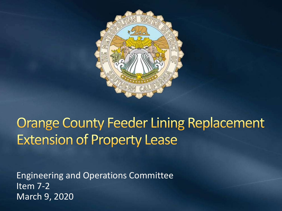

#### **Orange County Feeder Lining Replacement Extension of Property Lease**

Engineering and Operations Committee Item 7-2 March 9, 2020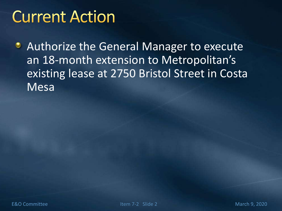## **Current Action**

**• Authorize the General Manager to execute** an 18-month extension to Metropolitan's existing lease at 2750 Bristol Street in Costa Mesa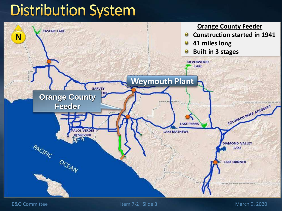### **Distribution System**



E&O Committee The Item 7-2 Slide 3 March 9, 2020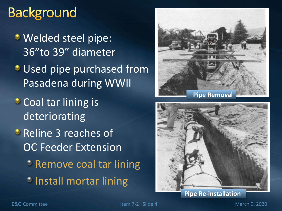#### **Background**

- **Welded steel pipe:** 36"to 39" diameter
- **Used pipe purchased from** Pasadena during WWII
- **Coal tar lining is** deteriorating
- **Reline 3 reaches of** OC Feeder Extension **C** Remove coal tar lining *C* Install mortar lining





**Pipe Re-installation** 

E&O Committee Item 7-2 Slide 4 March 9, 2020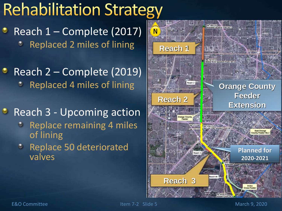# **Rehabilitation Strategy**

Reach 1 – Complete (2017) Replaced 2 miles of lining

Reach 2 – Complete (2019) Replaced 4 miles of lining

**• Reach 3 - Upcoming action** 

- **C** Replace remaining 4 miles of lining
- **C** Replace 50 deteriorated valves

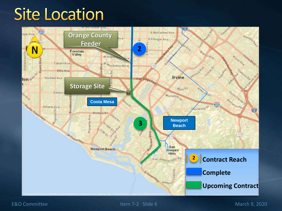## **Site Location**



#### E&O Committee Item 7-2 Slide 6 March 9, 2020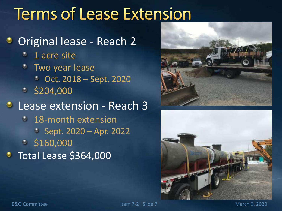# **Terms of Lease Extension**

#### Original lease - Reach 2

- **<sup>3</sup>** 1 acre site
- Two year lease Oct. 2018 – Sept. 2020  $\frac{1}{2}$  \$204,000 **Lease extension - Reach 3 18-month extension** Sept. 2020 – Apr. 2022  $\frac{1}{5}$  \$160,000 Total Lease \$364,000



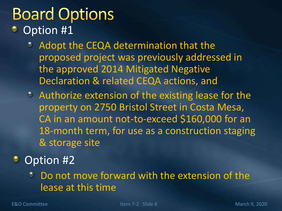# **Board Options**

- Option #1
	- Adopt the CEQA determination that the proposed project was previously addressed in the approved 2014 Mitigated Negative Declaration & related CEQA actions, and
	- Authorize extension of the existing lease for the property on 2750 Bristol Street in Costa Mesa, CA in an amount not-to-exceed \$160,000 for an 18-month term, for use as a construction staging & storage site

#### Option #2

Do not move forward with the extension of the lease at this time

E&O Committee The Item 7-2 Slide 8 March 9, 2020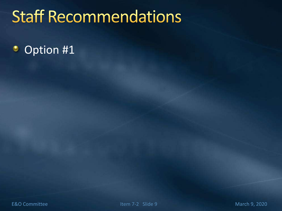# **Staff Recommendations**

#### Option #1۰